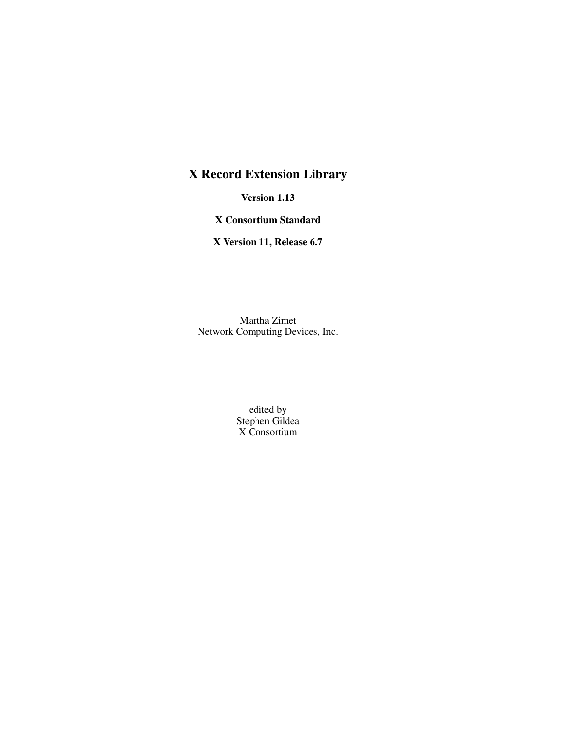# **X Record Extension Library**

**Version 1.13**

**X Consortium Standard**

**X Version 11, Release 6.7**

Martha Zimet Network Computing Devices, Inc.

> edited by Stephen Gildea X Consortium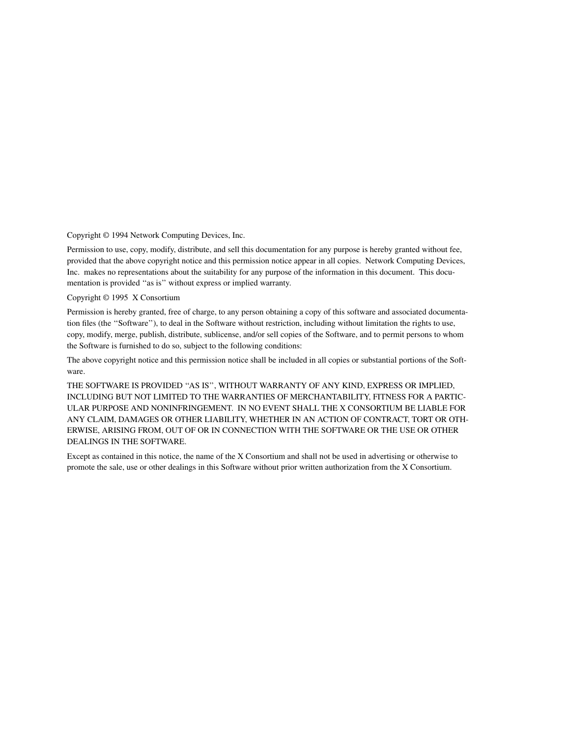Copyright © 1994 Network Computing Devices, Inc.

Permission to use, copy, modify, distribute, and sell this documentation for any purpose is hereby granted without fee, provided that the above copyright notice and this permission notice appear in all copies. Network Computing Devices, Inc. makes no representations about the suitability for any purpose of the information in this document. This documentation is provided ''as is'' without express or implied warranty.

Copyright © 1995 X Consortium

Permission is hereby granted, free of charge, to any person obtaining a copy of this software and associated documentation files (the ''Software''), to deal in the Software without restriction, including without limitation the rights to use, copy, modify, merge, publish, distribute, sublicense, and/or sell copies of the Software, and to permit persons to whom the Software is furnished to do so, subject to the following conditions:

The above copyright notice and this permission notice shall be included in all copies or substantial portions of the Software.

THE SOFTWARE IS PROVIDED ''AS IS'', WITHOUT WARRANTY OF ANY KIND, EXPRESS OR IMPLIED, INCLUDING BUT NOT LIMITED TO THE WARRANTIES OF MERCHANTABILITY, FITNESS FOR A PARTIC-ULAR PURPOSE AND NONINFRINGEMENT. IN NO EVENT SHALL THE X CONSORTIUM BE LIABLE FOR ANY CLAIM, DAMAGES OR OTHER LIABILITY, WHETHER IN AN ACTION OF CONTRACT, TORT OR OTH-ERWISE, ARISING FROM, OUT OF OR IN CONNECTION WITH THE SOFTWARE OR THE USE OR OTHER DEALINGS IN THE SOFTWARE.

Except as contained in this notice, the name of the X Consortium and shall not be used in advertising or otherwise to promote the sale, use or other dealings in this Software without prior written authorization from the X Consortium.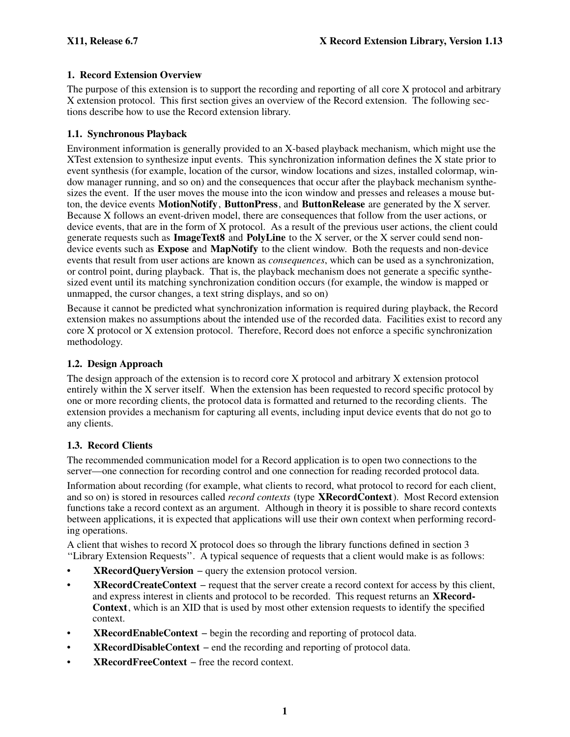# **1. Record Extension Overview**

The purpose of this extension is to support the recording and reporting of all core X protocol and arbitrary X extension protocol. This first section gives an overview of the Record extension. The following sections describe how to use the Record extension library.

## **1.1. Synchronous Playback**

Environment information is generally provided to an X-based playback mechanism, which might use the XTest extension to synthesize input events. This synchronization information defines the X state prior to event synthesis (for example, location of the cursor, window locations and sizes, installed colormap, window manager running, and so on) and the consequences that occur after the playback mechanism synthesizes the event. If the user moves the mouse into the icon window and presses and releases a mouse button, the device events **MotionNotify**, **ButtonPress**, and **ButtonRelease** are generated by the X server. Because X follows an event-driven model, there are consequences that follow from the user actions, or device events, that are in the form of X protocol. As a result of the previous user actions, the client could generate requests such as **ImageText8** and **PolyLine** to the X server, or the X server could send nondevice events such as **Expose** and **MapNotify** to the client window. Both the requests and non-device events that result from user actions are known as *consequences*, which can be used as a synchronization, or control point, during playback. That is, the playback mechanism does not generate a specific synthesized event until its matching synchronization condition occurs (for example, the window is mapped or unmapped, the cursor changes, a text string displays, and so on)

Because it cannot be predicted what synchronization information is required during playback, the Record extension makes no assumptions about the intended use of the recorded data. Facilities exist to record any core X protocol or X extension protocol. Therefore, Record does not enforce a specific synchronization methodology.

# **1.2. Design Approach**

The design approach of the extension is to record core X protocol and arbitrary X extension protocol entirely within the X server itself. When the extension has been requested to record specific protocol by one or more recording clients, the protocol data is formatted and returned to the recording clients. The extension provides a mechanism for capturing all events, including input device events that do not go to any clients.

# **1.3. Record Clients**

The recommended communication model for a Record application is to open two connections to the server—one connection for recording control and one connection for reading recorded protocol data.

Information about recording (for example, what clients to record, what protocol to record for each client, and so on) is stored in resources called *record contexts* (type **XRecordContext**). Most Record extension functions take a record context as an argument. Although in theory it is possible to share record contexts between applications, it is expected that applications will use their own context when performing recording operations.

A client that wishes to record X protocol does so through the library functions defined in section 3 ''Library Extension Requests''. A typical sequence of requests that a client would make is as follows:

- **XRecordQueryVersion** − query the extension protocol version.
- **XRecordCreateContext** − request that the server create a record context for access by this client, and express interest in clients and protocol to be recorded. This request returns an **XRecord-Context**, which is an XID that is used by most other extension requests to identify the specified context.
- **XRecordEnableContext** − begin the recording and reporting of protocol data.
- **XRecordDisableContext** − end the recording and reporting of protocol data.
- **XRecordFreeContext** − free the record context.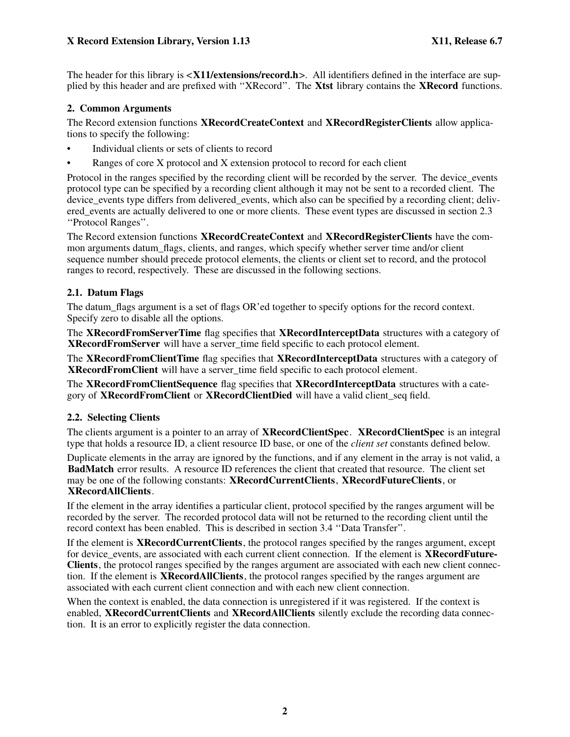The header for this library is <**X11/extensions/record.h**>. All identifiers defined in the interface are supplied by this header and are prefixed with ''XRecord''. The **Xtst** library contains the **XRecord** functions.

## **2. Common Arguments**

The Record extension functions **XRecordCreateContext** and **XRecordRegisterClients** allow applications to specify the following:

- Individual clients or sets of clients to record
- Ranges of core X protocol and X extension protocol to record for each client

Protocol in the ranges specified by the recording client will be recorded by the server. The device events protocol type can be specified by a recording client although it may not be sent to a recorded client. The device\_events type differs from delivered\_events, which also can be specified by a recording client; delivered events are actually delivered to one or more clients. These event types are discussed in section 2.3 ''Protocol Ranges''.

The Record extension functions **XRecordCreateContext** and **XRecordRegisterClients** have the common arguments datum flags, clients, and ranges, which specify whether server time and/or client sequence number should precede protocol elements, the clients or client set to record, and the protocol ranges to record, respectively. These are discussed in the following sections.

# **2.1. Datum Flags**

The datum\_flags argument is a set of flags OR'ed together to specify options for the record context. Specify zero to disable all the options.

The **XRecordFromServerTime** flag specifies that **XRecordInterceptData** structures with a category of **XRecordFromServer** will have a server\_time field specific to each protocol element.

The **XRecordFromClientTime** flag specifies that **XRecordInterceptData** structures with a category of **XRecordFromClient** will have a server time field specific to each protocol element.

The **XRecordFromClientSequence** flag specifies that **XRecordInterceptData** structures with a category of **XRecordFromClient** or **XRecordClientDied** will have a valid client\_seq field.

# **2.2. Selecting Clients**

The clients argument is a pointer to an array of **XRecordClientSpec**. **XRecordClientSpec** is an integral type that holds a resource ID, a client resource ID base, or one of the *client set* constants defined below.

Duplicate elements in the array are ignored by the functions, and if any element in the array is not valid, a **BadMatch** error results. A resource ID references the client that created that resource. The client set may be one of the following constants: **XRecordCurrentClients**, **XRecordFutureClients**, or **XRecordAllClients**.

If the element in the array identifies a particular client, protocol specified by the ranges argument will be recorded by the server. The recorded protocol data will not be returned to the recording client until the record context has been enabled. This is described in section 3.4 ''Data Transfer''.

If the element is **XRecordCurrentClients**, the protocol ranges specified by the ranges argument, except for device events, are associated with each current client connection. If the element is **XRecordFuture-Clients**, the protocol ranges specified by the ranges argument are associated with each new client connection. If the element is **XRecordAllClients**, the protocol ranges specified by the ranges argument are associated with each current client connection and with each new client connection.

When the context is enabled, the data connection is unregistered if it was registered. If the context is enabled, **XRecordCurrentClients** and **XRecordAllClients** silently exclude the recording data connection. It is an error to explicitly register the data connection.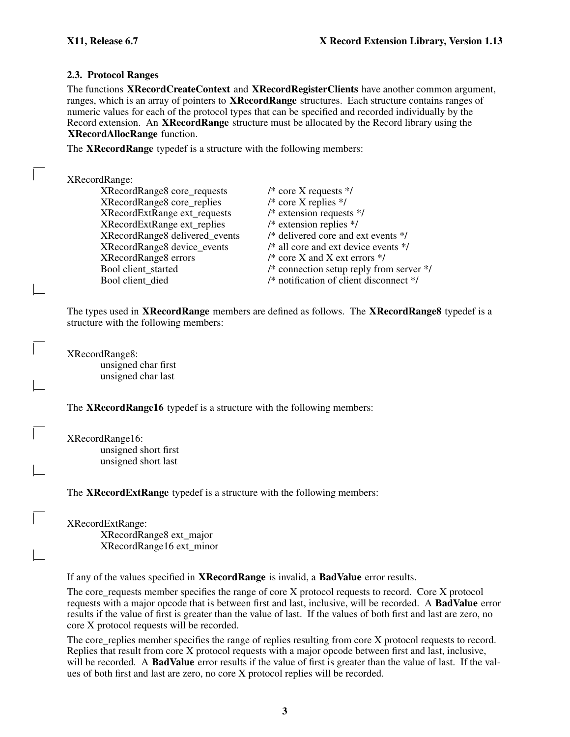## **2.3. Protocol Ranges**

The functions **XRecordCreateContext** and **XRecordRegisterClients** have another common argument, ranges, which is an array of pointers to **XRecordRange** structures. Each structure contains ranges of numeric values for each of the protocol types that can be specified and recorded individually by the Record extension. An **XRecordRange** structure must be allocated by the Record library using the **XRecordAllocRange** function.

The **XRecordRange** typedef is a structure with the following members:

| XRecordRange:                      |                                              |
|------------------------------------|----------------------------------------------|
| XRecordRange8 core_requests        | /* core X requests $*/$                      |
| XRecordRange8 core_replies         | /* core X replies $*/$                       |
| XRecordExtRange ext_requests       | $/*$ extension requests $*/$                 |
| <b>XRecordExtRange ext_replies</b> | $/*$ extension replies $*/$                  |
| XRecordRange8 delivered_events     | /* delivered core and ext events */          |
| XRecordRange8 device_events        | $/*$ all core and ext device events $*/$     |
| XRecordRange8 errors               | /* core X and X ext errors $*/$              |
| Bool client_started                | $/*$ connection setup reply from server $*/$ |
| Bool client died                   | /* notification of client disconnect */      |

The types used in **XRecordRange** members are defined as follows. The **XRecordRange8** typedef is a structure with the following members:

XRecordRange8: unsigned char first unsigned char last

The **XRecordRange16** typedef is a structure with the following members:

XRecordRange16: unsigned short first unsigned short last

The **XRecordExtRange** typedef is a structure with the following members:

XRecordExtRange: XRecordRange8 ext\_major

XRecordRange16 ext\_minor

If any of the values specified in **XRecordRange** is invalid, a **BadValue** error results.

The core\_requests member specifies the range of core X protocol requests to record. Core X protocol requests with a major opcode that is between first and last, inclusive, will be recorded. A **BadValue** error results if the value of first is greater than the value of last. If the values of both first and last are zero, no core X protocol requests will be recorded.

The core\_replies member specifies the range of replies resulting from core X protocol requests to record. Replies that result from core X protocol requests with a major opcode between first and last, inclusive, will be recorded. A **BadValue** error results if the value of first is greater than the value of last. If the values of both first and last are zero, no core X protocol replies will be recorded.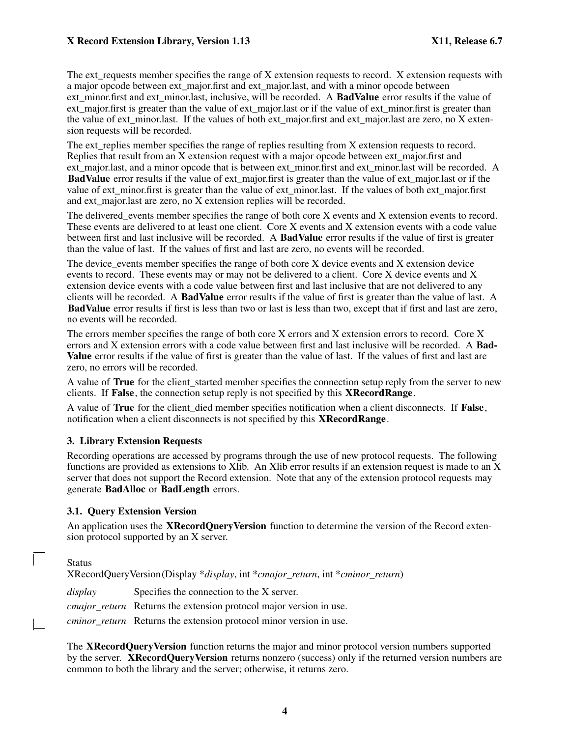#### **X Record Extension Library, Version 1.13 X11, Release 6.7**

The ext requests member specifies the range of X extension requests to record. X extension requests with a major opcode between ext\_major.first and ext\_major.last, and with a minor opcode between ext\_minor.first and ext\_minor.last, inclusive, will be recorded. A **BadValue** error results if the value of ext major.first is greater than the value of ext major.last or if the value of ext minor.first is greater than the value of ext\_minor.last. If the values of both ext\_major.first and ext\_major.last are zero, no X extension requests will be recorded.

The ext replies member specifies the range of replies resulting from X extension requests to record. Replies that result from an X extension request with a major opcode between ext\_major.first and ext\_major.last, and a minor opcode that is between ext\_minor.first and ext\_minor.last will be recorded. A **BadValue** error results if the value of ext\_major.first is greater than the value of ext\_major.last or if the value of ext\_minor.first is greater than the value of ext\_minor.last. If the values of both ext\_major.first and ext major.last are zero, no X extension replies will be recorded.

The delivered\_events member specifies the range of both core X events and X extension events to record. These events are delivered to at least one client. Core X events and X extension events with a code value between first and last inclusive will be recorded. A **BadValue** error results if the value of first is greater than the value of last. If the values of first and last are zero, no events will be recorded.

The device\_events member specifies the range of both core X device events and X extension device events to record. These events may or may not be delivered to a client. Core  $X$  device events and  $X$ extension device events with a code value between first and last inclusive that are not delivered to any clients will be recorded. A **BadValue** error results if the value of first is greater than the value of last. A **BadValue** error results if first is less than two or last is less than two, except that if first and last are zero, no events will be recorded.

The errors member specifies the range of both core X errors and X extension errors to record. Core X errors and X extension errors with a code value between first and last inclusive will be recorded. A **Bad-Value** error results if the value of first is greater than the value of last. If the values of first and last are zero, no errors will be recorded.

A value of **True** for the client\_started member specifies the connection setup reply from the server to new clients. If **False**, the connection setup reply is not specified by this **XRecordRange**.

A value of **True** for the client\_died member specifies notification when a client disconnects. If **False**, notification when a client disconnects is not specified by this **XRecordRange**.

#### **3. Library Extension Requests**

Recording operations are accessed by programs through the use of new protocol requests. The following functions are provided as extensions to Xlib. An Xlib error results if an extension request is made to an X server that does not support the Record extension. Note that any of the extension protocol requests may generate **BadAlloc** or **BadLength** errors.

#### **3.1. Query Extension Version**

An application uses the **XRecordQueryVersion** function to determine the version of the Record extension protocol supported by an X server.

**Status** 

XRecordQueryVersion (Display \**display*, int \**cmajor\_return*, int \**cminor\_return*)

*display* Specifies the connection to the X server.

*cmajor\_return* Returns the extension protocol major version in use.

*cminor return* Returns the extension protocol minor version in use.

The **XRecordQueryVersion** function returns the major and minor protocol version numbers supported by the server. **XRecordQueryVersion** returns nonzero (success) only if the returned version numbers are common to both the library and the server; otherwise, it returns zero.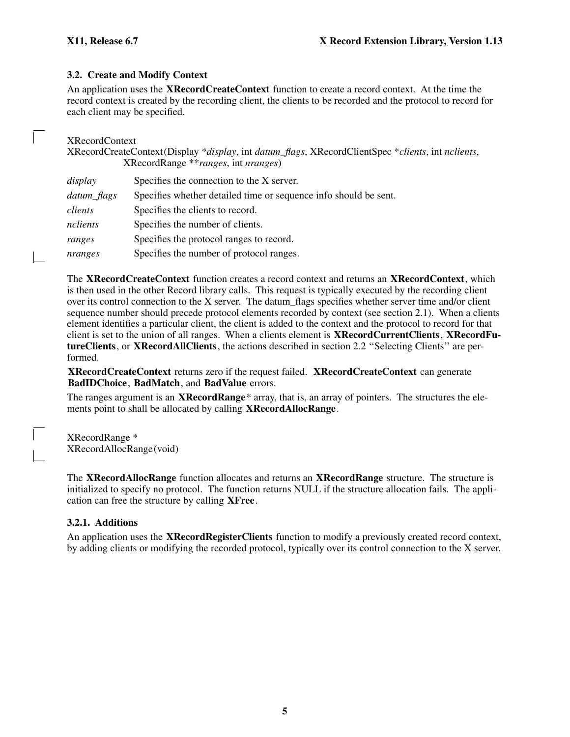## **3.2. Create and Modify Context**

An application uses the **XRecordCreateContext** function to create a record context. At the time the record context is created by the recording client, the clients to be recorded and the protocol to record for each client may be specified.

## XRecordContext

XRecordCreateContext (Display \**display*, int *datum\_flags*, XRecordClientSpec \**clients*, int *nclients*, XRecordRange \*\**ranges*, int *nranges*)

| display     | Specifies the connection to the X server.                        |
|-------------|------------------------------------------------------------------|
| datum_flags | Specifies whether detailed time or sequence info should be sent. |
| clients     | Specifies the clients to record.                                 |
| nclients    | Specifies the number of clients.                                 |
| ranges      | Specifies the protocol ranges to record.                         |
| nranges     | Specifies the number of protocol ranges.                         |

The **XRecordCreateContext** function creates a record context and returns an **XRecordContext**, which is then used in the other Record library calls. This request is typically executed by the recording client over its control connection to the X server. The datum\_flags specifies whether server time and/or client sequence number should precede protocol elements recorded by context (see section 2.1). When a clients element identifies a particular client, the client is added to the context and the protocol to record for that client is set to the union of all ranges. When a clients element is **XRecordCurrentClients**, **XRecordFutureClients**, or **XRecordAllClients**, the actions described in section 2.2 ''Selecting Clients'' are performed.

**XRecordCreateContext** returns zero if the request failed. **XRecordCreateContext** can generate **BadIDChoice**, **BadMatch**, and **BadValue** errors.

The ranges argument is an **XRecordRange**\* array, that is, an array of pointers. The structures the elements point to shall be allocated by calling **XRecordAllocRange**.

XRecordRange \* XRecordAllocRange (void)

The **XRecordAllocRange** function allocates and returns an **XRecordRange** structure. The structure is initialized to specify no protocol. The function returns NULL if the structure allocation fails. The application can free the structure by calling **XFree**.

#### **3.2.1. Additions**

An application uses the **XRecordRegisterClients** function to modify a previously created record context, by adding clients or modifying the recorded protocol, typically over its control connection to the X server.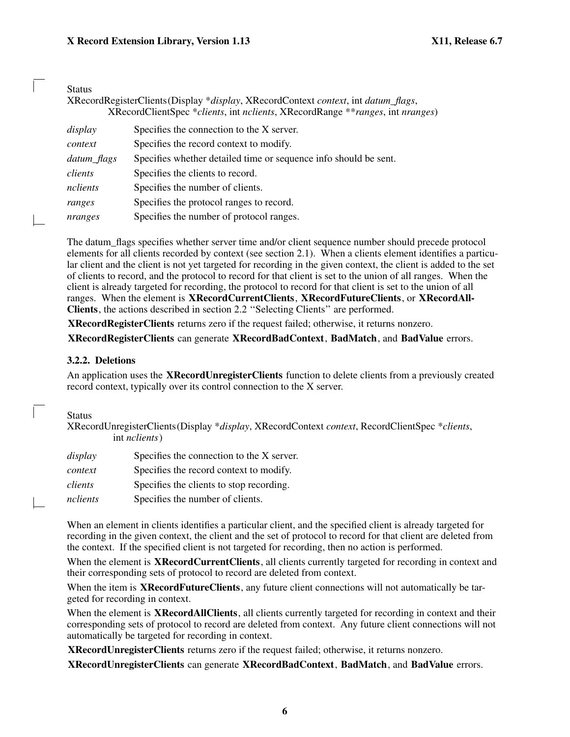#### Status

XRecordRegisterClients (Display \**display*, XRecordContext *context*, int *datum\_flags*, XRecordClientSpec \**clients*, int *nclients*, XRecordRange \*\**ranges*, int *nranges*)

| display     | Specifies the connection to the X server.                        |
|-------------|------------------------------------------------------------------|
| context     | Specifies the record context to modify.                          |
| datum_flags | Specifies whether detailed time or sequence info should be sent. |
| clients     | Specifies the clients to record.                                 |
| nclients    | Specifies the number of clients.                                 |
| ranges      | Specifies the protocol ranges to record.                         |
| nranges     | Specifies the number of protocol ranges.                         |

The datum\_flags specifies whether server time and/or client sequence number should precede protocol elements for all clients recorded by context (see section 2.1). When a clients element identifies a particular client and the client is not yet targeted for recording in the given context, the client is added to the set of clients to record, and the protocol to record for that client is set to the union of all ranges. When the client is already targeted for recording, the protocol to record for that client is set to the union of all ranges. When the element is **XRecordCurrentClients**, **XRecordFutureClients**, or **XRecordAll-Clients**, the actions described in section 2.2 ''Selecting Clients'' are performed.

**XRecordRegisterClients** returns zero if the request failed; otherwise, it returns nonzero.

**XRecordRegisterClients** can generate **XRecordBadContext**, **BadMatch**, and **BadValue** errors.

#### **3.2.2. Deletions**

An application uses the **XRecordUnregisterClients** function to delete clients from a previously created record context, typically over its control connection to the X server.

#### **Status**

XRecordUnregisterClients (Display \**display*, XRecordContext *context*, RecordClientSpec \**clients*, int *nclients*)

| display  | Specifies the connection to the X server. |
|----------|-------------------------------------------|
| context  | Specifies the record context to modify.   |
| clients  | Specifies the clients to stop recording.  |
| nclients | Specifies the number of clients.          |

When an element in clients identifies a particular client, and the specified client is already targeted for recording in the given context, the client and the set of protocol to record for that client are deleted from the context. If the specified client is not targeted for recording, then no action is performed.

When the element is **XRecordCurrentClients**, all clients currently targeted for recording in context and their corresponding sets of protocol to record are deleted from context.

When the item is **XRecordFutureClients**, any future client connections will not automatically be targeted for recording in context.

When the element is **XRecordAllClients**, all clients currently targeted for recording in context and their corresponding sets of protocol to record are deleted from context. Any future client connections will not automatically be targeted for recording in context.

**XRecordUnregisterClients** returns zero if the request failed; otherwise, it returns nonzero.

**XRecordUnregisterClients** can generate **XRecordBadContext**, **BadMatch**, and **BadValue** errors.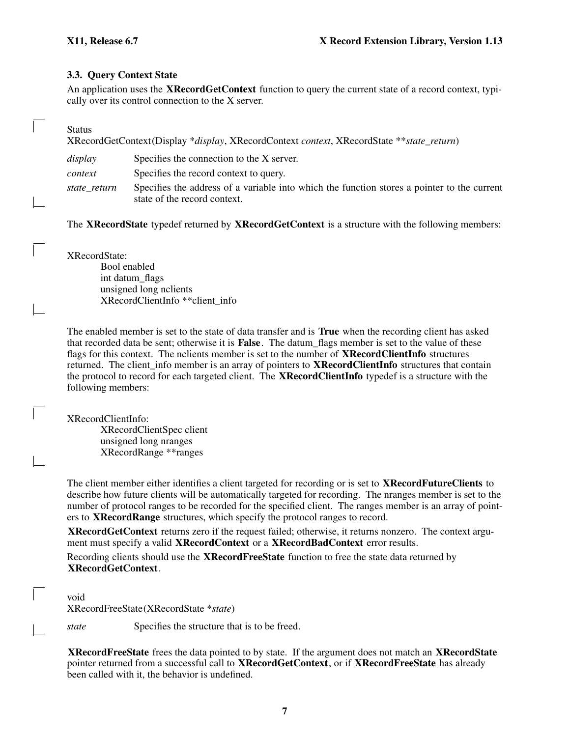## **3.3. Query Context State**

An application uses the **XRecordGetContext** function to query the current state of a record context, typically over its control connection to the X server.

**Status** 

XRecordGetContext (Display \**display*, XRecordContext *context*, XRecordState \*\**state\_return*)

| display      | Specifies the connection to the X server.                                                                                   |
|--------------|-----------------------------------------------------------------------------------------------------------------------------|
| context      | Specifies the record context to query.                                                                                      |
| state return | Specifies the address of a variable into which the function stores a pointer to the current<br>state of the record context. |

The **XRecordState** typedef returned by **XRecordGetContext** is a structure with the following members:

XRecordState:

Bool enabled int datum\_flags unsigned long nclients XRecordClientInfo \*\*client\_info

The enabled member is set to the state of data transfer and is **True** when the recording client has asked that recorded data be sent; otherwise it is **False**. The datum\_flags member is set to the value of these flags for this context. The nclients member is set to the number of **XRecordClientInfo** structures returned. The client info member is an array of pointers to **XRecordClientInfo** structures that contain the protocol to record for each targeted client. The **XRecordClientInfo** typedef is a structure with the following members:

XRecordClientInfo:

XRecordClientSpec client unsigned long nranges XRecordRange \*\*ranges

The client member either identifies a client targeted for recording or is set to **XRecordFutureClients** to describe how future clients will be automatically targeted for recording. The nranges member is set to the number of protocol ranges to be recorded for the specified client. The ranges member is an array of pointers to **XRecordRange** structures, which specify the protocol ranges to record.

**XRecordGetContext** returns zero if the request failed; otherwise, it returns nonzero. The context argument must specify a valid **XRecordContext** or a **XRecordBadContext** error results.

Recording clients should use the **XRecordFreeState** function to free the state data returned by **XRecordGetContext**.

void XRecordFreeState (XRecordState \**state*)

*state* Specifies the structure that is to be freed.

**XRecordFreeState** frees the data pointed to by state. If the argument does not match an **XRecordState** pointer returned from a successful call to **XRecordGetContext**, or if **XRecordFreeState** has already been called with it, the behavior is undefined.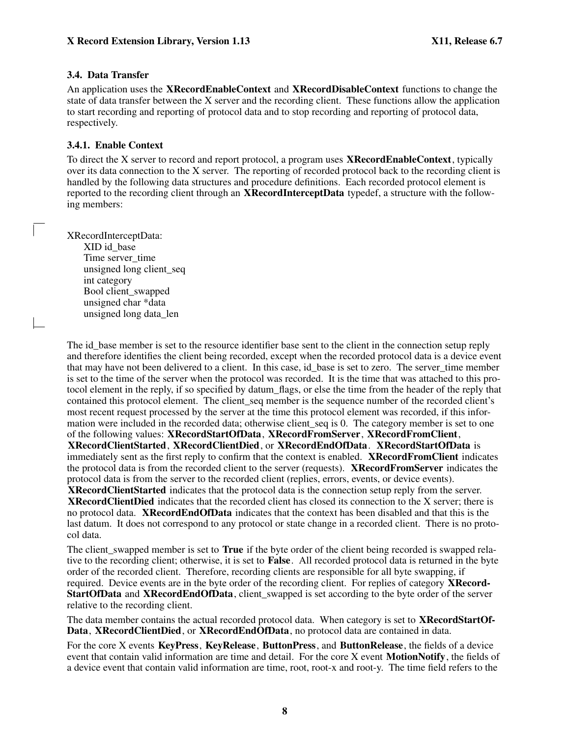## **3.4. Data Transfer**

An application uses the **XRecordEnableContext** and **XRecordDisableContext** functions to change the state of data transfer between the X server and the recording client. These functions allow the application to start recording and reporting of protocol data and to stop recording and reporting of protocol data, respectively.

#### **3.4.1. Enable Context**

To direct the X server to record and report protocol, a program uses **XRecordEnableContext**, typically over its data connection to the X server. The reporting of recorded protocol back to the recording client is handled by the following data structures and procedure definitions. Each recorded protocol element is reported to the recording client through an **XRecordInterceptData** typedef, a structure with the following members:

XRecordInterceptData:

XID id base Time server\_time unsigned long client\_seq int category Bool client\_swapped unsigned char \*data unsigned long data\_len

The id base member is set to the resource identifier base sent to the client in the connection setup reply and therefore identifies the client being recorded, except when the recorded protocol data is a device event that may have not been delivered to a client. In this case, id\_base is set to zero. The server\_time member is set to the time of the server when the protocol was recorded. It is the time that was attached to this protocol element in the reply, if so specified by datum\_flags, or else the time from the header of the reply that contained this protocol element. The client seq member is the sequence number of the recorded client's most recent request processed by the server at the time this protocol element was recorded, if this information were included in the recorded data; otherwise client\_seq is 0. The category member is set to one of the following values: **XRecordStartOfData**, **XRecordFromServer**, **XRecordFromClient**, **XRecordClientStarted**, **XRecordClientDied**, or **XRecordEndOfData**. **XRecordStartOfData** is immediately sent as the first reply to confirm that the context is enabled. **XRecordFromClient** indicates the protocol data is from the recorded client to the server (requests). **XRecordFromServer** indicates the protocol data is from the server to the recorded client (replies, errors, events, or device events). **XRecordClientStarted** indicates that the protocol data is the connection setup reply from the server. **XRecordClientDied** indicates that the recorded client has closed its connection to the X server; there is

no protocol data. **XRecordEndOfData** indicates that the context has been disabled and that this is the last datum. It does not correspond to any protocol or state change in a recorded client. There is no protocol data.

The client swapped member is set to **True** if the byte order of the client being recorded is swapped relative to the recording client; otherwise, it is set to **False**. All recorded protocol data is returned in the byte order of the recorded client. Therefore, recording clients are responsible for all byte swapping, if required. Device events are in the byte order of the recording client. For replies of category **XRecord-StartOfData** and **XRecordEndOfData**, client\_swapped is set according to the byte order of the server relative to the recording client.

The data member contains the actual recorded protocol data. When category is set to **XRecordStartOf-Data**, **XRecordClientDied**, or **XRecordEndOfData**, no protocol data are contained in data.

For the core X events **KeyPress**, **KeyRelease**, **ButtonPress**, and **ButtonRelease**, the fields of a device event that contain valid information are time and detail. For the core X event **MotionNotify**, the fields of a device event that contain valid information are time, root, root-x and root-y. The time field refers to the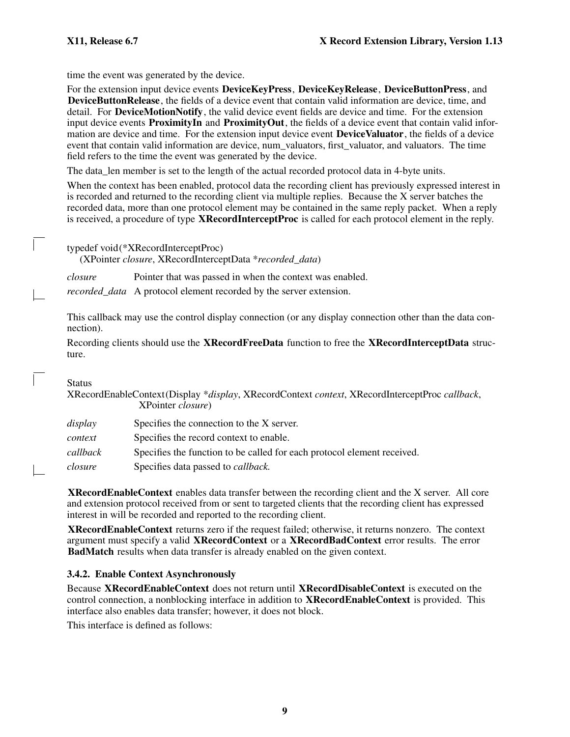time the event was generated by the device.

For the extension input device events **DeviceKeyPress**, **DeviceKeyRelease**, **DeviceButtonPress**, and **DeviceButtonRelease**, the fields of a device event that contain valid information are device, time, and detail. For **DeviceMotionNotify**, the valid device event fields are device and time. For the extension input device events **ProximityIn** and **ProximityOut**, the fields of a device event that contain valid information are device and time. For the extension input device event **DeviceValuator**, the fields of a device event that contain valid information are device, num\_valuators, first\_valuator, and valuators. The time field refers to the time the event was generated by the device.

The data\_len member is set to the length of the actual recorded protocol data in 4-byte units.

When the context has been enabled, protocol data the recording client has previously expressed interest in is recorded and returned to the recording client via multiple replies. Because the X server batches the recorded data, more than one protocol element may be contained in the same reply packet. When a reply is received, a procedure of type **XRecordInterceptProc** is called for each protocol element in the reply.

typedef void (\*XRecordInterceptProc)

(XPointer *closure*, XRecordInterceptData \**recorded\_data*)

*closure* Pointer that was passed in when the context was enabled.

*recorded\_data* A protocol element recorded by the server extension.

This callback may use the control display connection (or any display connection other than the data connection).

Recording clients should use the **XRecordFreeData** function to free the **XRecordInterceptData** structure.

**Status** 

XRecordEnableContext (Display \**display*, XRecordContext *context*, XRecordInterceptProc *callback*, XPointer *closure*)

| display  | Specifies the connection to the X server.                               |
|----------|-------------------------------------------------------------------------|
| context  | Specifies the record context to enable.                                 |
| callback | Specifies the function to be called for each protocol element received. |
| closure  | Specifies data passed to <i>callback</i> .                              |

**XRecordEnableContext** enables data transfer between the recording client and the X server. All core and extension protocol received from or sent to targeted clients that the recording client has expressed interest in will be recorded and reported to the recording client.

**XRecordEnableContext** returns zero if the request failed; otherwise, it returns nonzero. The context argument must specify a valid **XRecordContext** or a **XRecordBadContext** error results. The error **BadMatch** results when data transfer is already enabled on the given context.

# **3.4.2. Enable Context Asynchronously**

Because **XRecordEnableContext** does not return until **XRecordDisableContext** is executed on the control connection, a nonblocking interface in addition to **XRecordEnableContext** is provided. This interface also enables data transfer; however, it does not block.

This interface is defined as follows: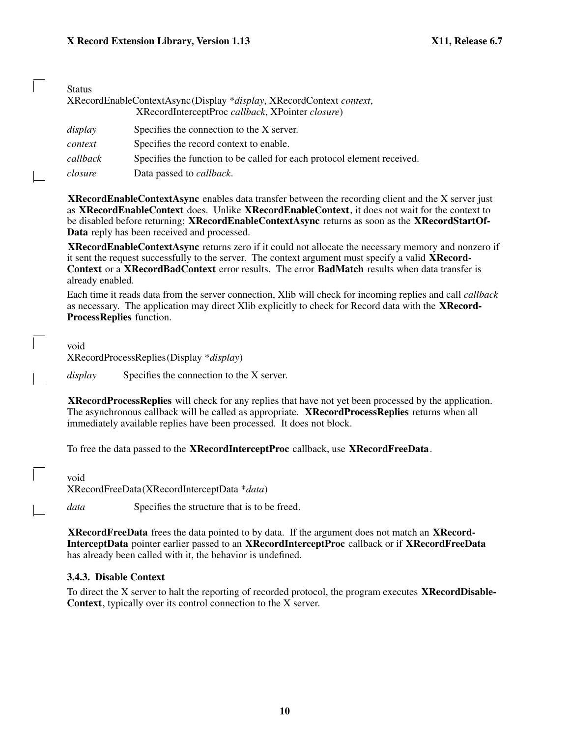| <b>Status</b>                                                       |                                                                         |  |
|---------------------------------------------------------------------|-------------------------------------------------------------------------|--|
| XRecordEnableContextAsync(Display *display, XRecordContext context, |                                                                         |  |
|                                                                     | XRecordInterceptProc callback, XPointer closure)                        |  |
| display                                                             | Specifies the connection to the X server.                               |  |
| context                                                             | Specifies the record context to enable.                                 |  |
| callback                                                            | Specifies the function to be called for each protocol element received. |  |
| closure                                                             | Data passed to callback.                                                |  |

**XRecordEnableContextAsync** enables data transfer between the recording client and the X server just as **XRecordEnableContext** does. Unlike **XRecordEnableContext**, it does not wait for the context to be disabled before returning; **XRecordEnableContextAsync** returns as soon as the **XRecordStartOf-Data** reply has been received and processed.

**XRecordEnableContextAsync** returns zero if it could not allocate the necessary memory and nonzero if it sent the request successfully to the server. The context argument must specify a valid **XRecord-Context** or a **XRecordBadContext** error results. The error **BadMatch** results when data transfer is already enabled.

Each time it reads data from the server connection, Xlib will check for incoming replies and call *callback* as necessary. The application may direct Xlib explicitly to check for Record data with the **XRecord-ProcessReplies** function.

void XRecordProcessReplies (Display \**display*) *display* Specifies the connection to the X server.

**XRecordProcessReplies** will check for any replies that have not yet been processed by the application. The asynchronous callback will be called as appropriate. **XRecordProcessReplies** returns when all immediately available replies have been processed. It does not block.

To free the data passed to the **XRecordInterceptProc** callback, use **XRecordFreeData**.

void XRecordFreeData (XRecordInterceptData \**data*)

*data* Specifies the structure that is to be freed.

**XRecordFreeData** frees the data pointed to by data. If the argument does not match an **XRecord-InterceptData** pointer earlier passed to an **XRecordInterceptProc** callback or if **XRecordFreeData** has already been called with it, the behavior is undefined.

#### **3.4.3. Disable Context**

To direct the X server to halt the reporting of recorded protocol, the program executes **XRecordDisable-Context**, typically over its control connection to the X server.